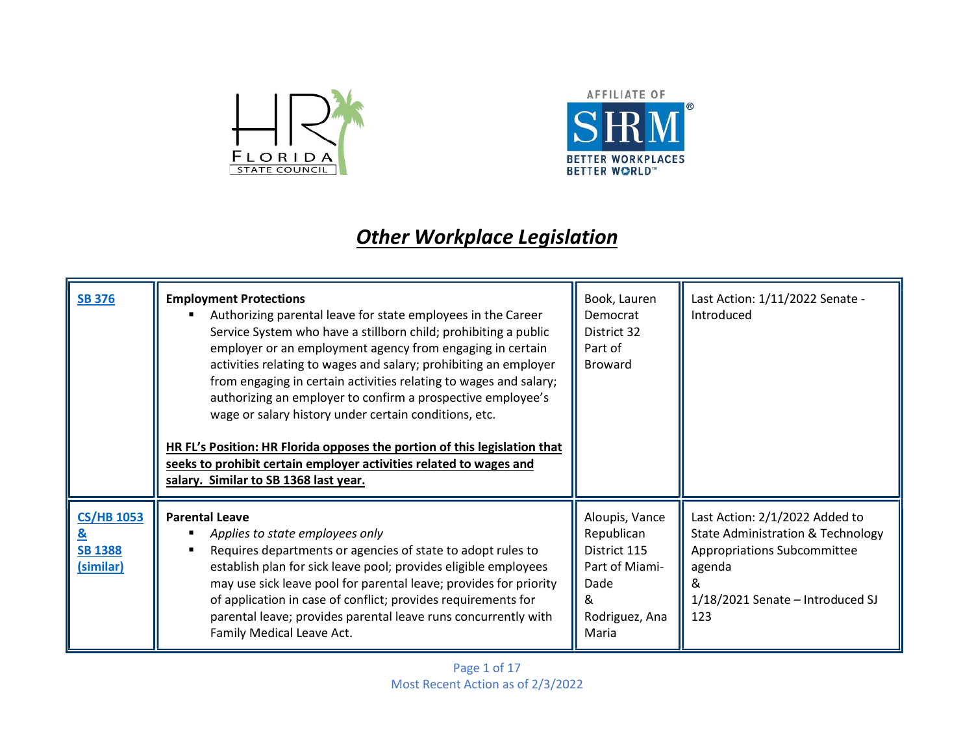



## **Other Workplace Legislation**

| <b>SB 376</b>                                    | <b>Employment Protections</b><br>Authorizing parental leave for state employees in the Career<br>Service System who have a stillborn child; prohibiting a public<br>employer or an employment agency from engaging in certain<br>activities relating to wages and salary; prohibiting an employer<br>from engaging in certain activities relating to wages and salary;<br>authorizing an employer to confirm a prospective employee's<br>wage or salary history under certain conditions, etc.<br>HR FL's Position: HR Florida opposes the portion of this legislation that<br>seeks to prohibit certain employer activities related to wages and<br>salary. Similar to SB 1368 last year. | Book, Lauren<br>Democrat<br>District 32<br>Part of<br><b>Broward</b>                              | Last Action: 1/11/2022 Senate -<br>Introduced                                                                                                                                  |
|--------------------------------------------------|--------------------------------------------------------------------------------------------------------------------------------------------------------------------------------------------------------------------------------------------------------------------------------------------------------------------------------------------------------------------------------------------------------------------------------------------------------------------------------------------------------------------------------------------------------------------------------------------------------------------------------------------------------------------------------------------|---------------------------------------------------------------------------------------------------|--------------------------------------------------------------------------------------------------------------------------------------------------------------------------------|
| <b>CS/HB 1053</b><br><b>SB 1388</b><br>(similar) | <b>Parental Leave</b><br>Applies to state employees only<br>Requires departments or agencies of state to adopt rules to<br>establish plan for sick leave pool; provides eligible employees<br>may use sick leave pool for parental leave; provides for priority<br>of application in case of conflict; provides requirements for<br>parental leave; provides parental leave runs concurrently with<br>Family Medical Leave Act.                                                                                                                                                                                                                                                            | Aloupis, Vance<br>Republican<br>District 115<br>Part of Miami-<br>Dade<br>Rodriguez, Ana<br>Maria | Last Action: 2/1/2022 Added to<br><b>State Administration &amp; Technology</b><br><b>Appropriations Subcommittee</b><br>agenda<br>ଧ<br>1/18/2021 Senate - Introduced SJ<br>123 |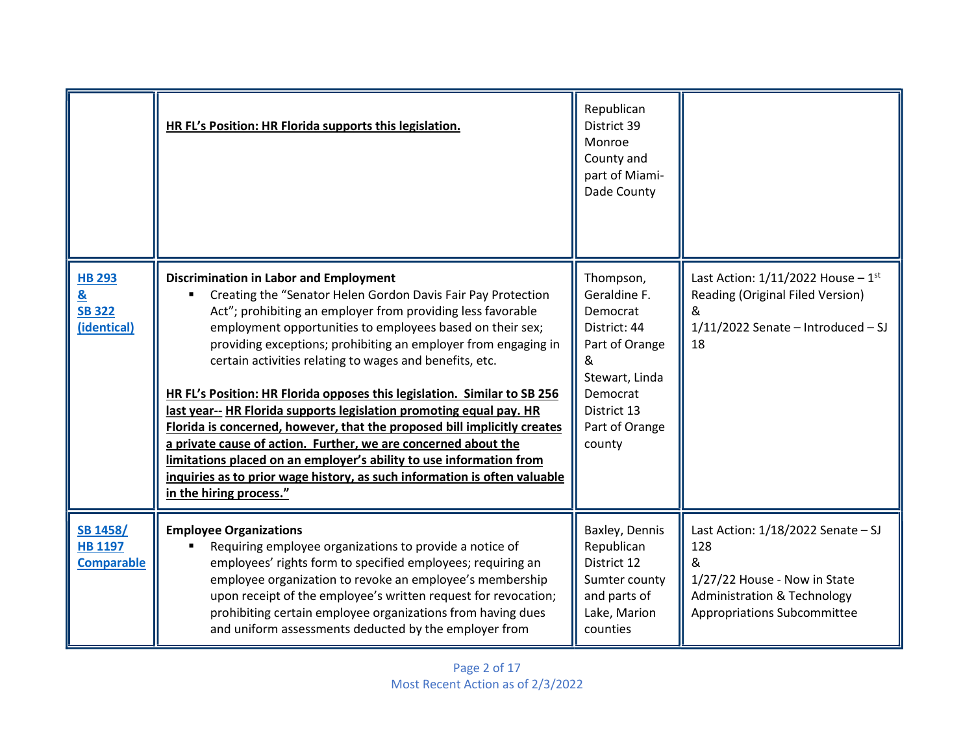|                                                                              | HR FL's Position: HR Florida supports this legislation.                                                                                                                                                                                                                                                                                                                                                                                                                                                                                                                                                                                                                                                                                                                                                                                                | Republican<br>District 39<br>Monroe<br>County and<br>part of Miami-<br>Dade County                                                               |                                                                                                                                                           |
|------------------------------------------------------------------------------|--------------------------------------------------------------------------------------------------------------------------------------------------------------------------------------------------------------------------------------------------------------------------------------------------------------------------------------------------------------------------------------------------------------------------------------------------------------------------------------------------------------------------------------------------------------------------------------------------------------------------------------------------------------------------------------------------------------------------------------------------------------------------------------------------------------------------------------------------------|--------------------------------------------------------------------------------------------------------------------------------------------------|-----------------------------------------------------------------------------------------------------------------------------------------------------------|
| <b>HB 293</b><br>$\underline{\underline{8}}$<br><b>SB 322</b><br>(identical) | <b>Discrimination in Labor and Employment</b><br>Creating the "Senator Helen Gordon Davis Fair Pay Protection<br>Act"; prohibiting an employer from providing less favorable<br>employment opportunities to employees based on their sex;<br>providing exceptions; prohibiting an employer from engaging in<br>certain activities relating to wages and benefits, etc.<br>HR FL's Position: HR Florida opposes this legislation. Similar to SB 256<br>last year-- HR Florida supports legislation promoting equal pay. HR<br>Florida is concerned, however, that the proposed bill implicitly creates<br>a private cause of action. Further, we are concerned about the<br>limitations placed on an employer's ability to use information from<br>inquiries as to prior wage history, as such information is often valuable<br>in the hiring process." | Thompson,<br>Geraldine F.<br>Democrat<br>District: 44<br>Part of Orange<br>Stewart, Linda<br>Democrat<br>District 13<br>Part of Orange<br>county | Last Action: $1/11/2022$ House - $1st$<br>Reading (Original Filed Version)<br>&<br>$1/11/2022$ Senate - Introduced - SJ<br>18                             |
| <b>SB 1458/</b><br><b>HB 1197</b><br><b>Comparable</b>                       | <b>Employee Organizations</b><br>Requiring employee organizations to provide a notice of<br>employees' rights form to specified employees; requiring an<br>employee organization to revoke an employee's membership<br>upon receipt of the employee's written request for revocation;<br>prohibiting certain employee organizations from having dues<br>and uniform assessments deducted by the employer from                                                                                                                                                                                                                                                                                                                                                                                                                                          | Baxley, Dennis<br>Republican<br>District 12<br>Sumter county<br>and parts of<br>Lake, Marion<br>counties                                         | Last Action: $1/18/2022$ Senate - SJ<br>128<br>&<br>1/27/22 House - Now in State<br><b>Administration &amp; Technology</b><br>Appropriations Subcommittee |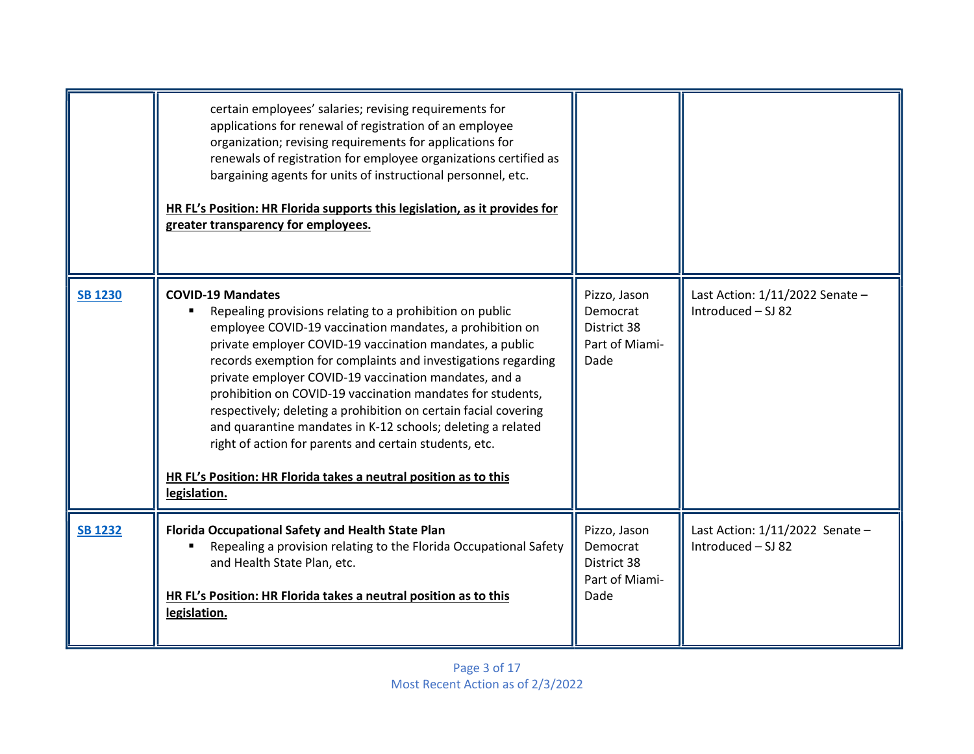|                | certain employees' salaries; revising requirements for<br>applications for renewal of registration of an employee<br>organization; revising requirements for applications for<br>renewals of registration for employee organizations certified as<br>bargaining agents for units of instructional personnel, etc.<br>HR FL's Position: HR Florida supports this legislation, as it provides for<br>greater transparency for employees.                                                                                                                                                                                                                                               |                                                                   |                                                         |
|----------------|--------------------------------------------------------------------------------------------------------------------------------------------------------------------------------------------------------------------------------------------------------------------------------------------------------------------------------------------------------------------------------------------------------------------------------------------------------------------------------------------------------------------------------------------------------------------------------------------------------------------------------------------------------------------------------------|-------------------------------------------------------------------|---------------------------------------------------------|
| <b>SB 1230</b> | <b>COVID-19 Mandates</b><br>Repealing provisions relating to a prohibition on public<br>employee COVID-19 vaccination mandates, a prohibition on<br>private employer COVID-19 vaccination mandates, a public<br>records exemption for complaints and investigations regarding<br>private employer COVID-19 vaccination mandates, and a<br>prohibition on COVID-19 vaccination mandates for students,<br>respectively; deleting a prohibition on certain facial covering<br>and quarantine mandates in K-12 schools; deleting a related<br>right of action for parents and certain students, etc.<br>HR FL's Position: HR Florida takes a neutral position as to this<br>legislation. | Pizzo, Jason<br>Democrat<br>District 38<br>Part of Miami-<br>Dade | Last Action: 1/11/2022 Senate -<br>Introduced - SJ 82   |
| <b>SB 1232</b> | Florida Occupational Safety and Health State Plan<br>Repealing a provision relating to the Florida Occupational Safety<br>and Health State Plan, etc.<br>HR FL's Position: HR Florida takes a neutral position as to this<br>legislation.                                                                                                                                                                                                                                                                                                                                                                                                                                            | Pizzo, Jason<br>Democrat<br>District 38<br>Part of Miami-<br>Dade | Last Action: $1/11/2022$ Senate -<br>Introduced - SJ 82 |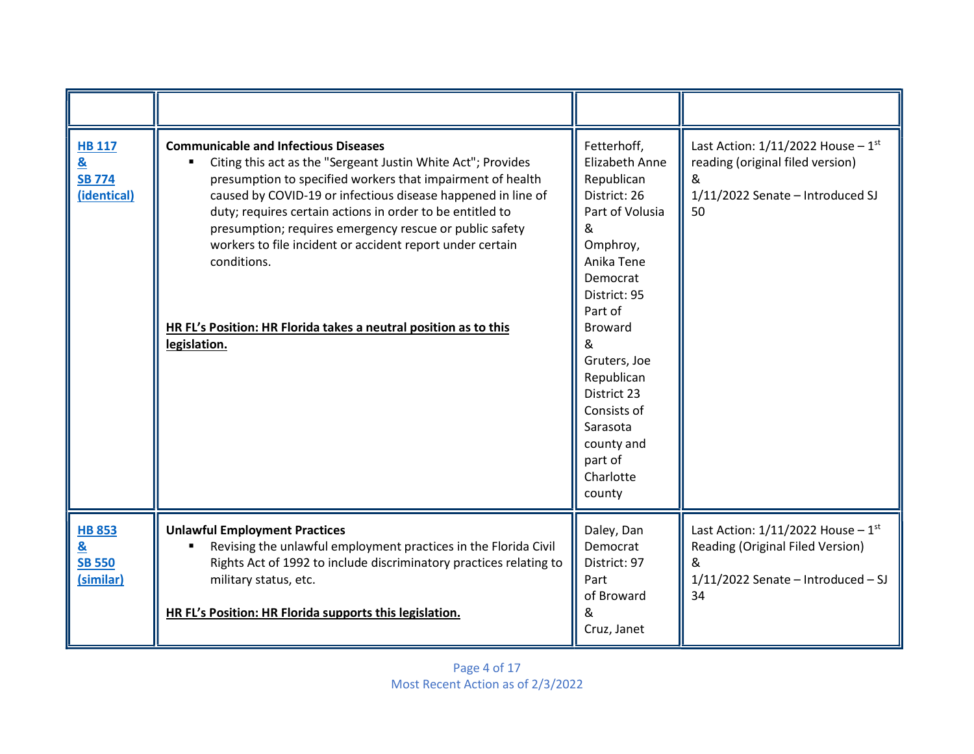| <b>HB 117</b><br>$\underline{\mathbf{8}}$<br><b>SB 774</b><br>(identical) | <b>Communicable and Infectious Diseases</b><br>Citing this act as the "Sergeant Justin White Act"; Provides<br>presumption to specified workers that impairment of health<br>caused by COVID-19 or infectious disease happened in line of<br>duty; requires certain actions in order to be entitled to<br>presumption; requires emergency rescue or public safety<br>workers to file incident or accident report under certain<br>conditions.<br>HR FL's Position: HR Florida takes a neutral position as to this<br>legislation. | Fetterhoff,<br><b>Elizabeth Anne</b><br>Republican<br>District: 26<br>Part of Volusia<br>&<br>Omphroy,<br>Anika Tene<br>Democrat<br>District: 95<br>Part of<br><b>Broward</b><br>&<br>Gruters, Joe<br>Republican<br>District 23<br>Consists of<br>Sarasota<br>county and<br>part of<br>Charlotte<br>county | Last Action: $1/11/2022$ House - $1st$<br>reading (original filed version)<br>&<br>1/11/2022 Senate - Introduced SJ<br>50     |
|---------------------------------------------------------------------------|-----------------------------------------------------------------------------------------------------------------------------------------------------------------------------------------------------------------------------------------------------------------------------------------------------------------------------------------------------------------------------------------------------------------------------------------------------------------------------------------------------------------------------------|------------------------------------------------------------------------------------------------------------------------------------------------------------------------------------------------------------------------------------------------------------------------------------------------------------|-------------------------------------------------------------------------------------------------------------------------------|
| <b>HB 853</b><br>&<br><b>SB 550</b><br>(similar)                          | <b>Unlawful Employment Practices</b><br>Revising the unlawful employment practices in the Florida Civil<br>Rights Act of 1992 to include discriminatory practices relating to<br>military status, etc.<br>HR FL's Position: HR Florida supports this legislation.                                                                                                                                                                                                                                                                 | Daley, Dan<br>Democrat<br>District: 97<br>Part<br>of Broward<br>&<br>Cruz, Janet                                                                                                                                                                                                                           | Last Action: $1/11/2022$ House - $1st$<br>Reading (Original Filed Version)<br>&<br>$1/11/2022$ Senate - Introduced - SJ<br>34 |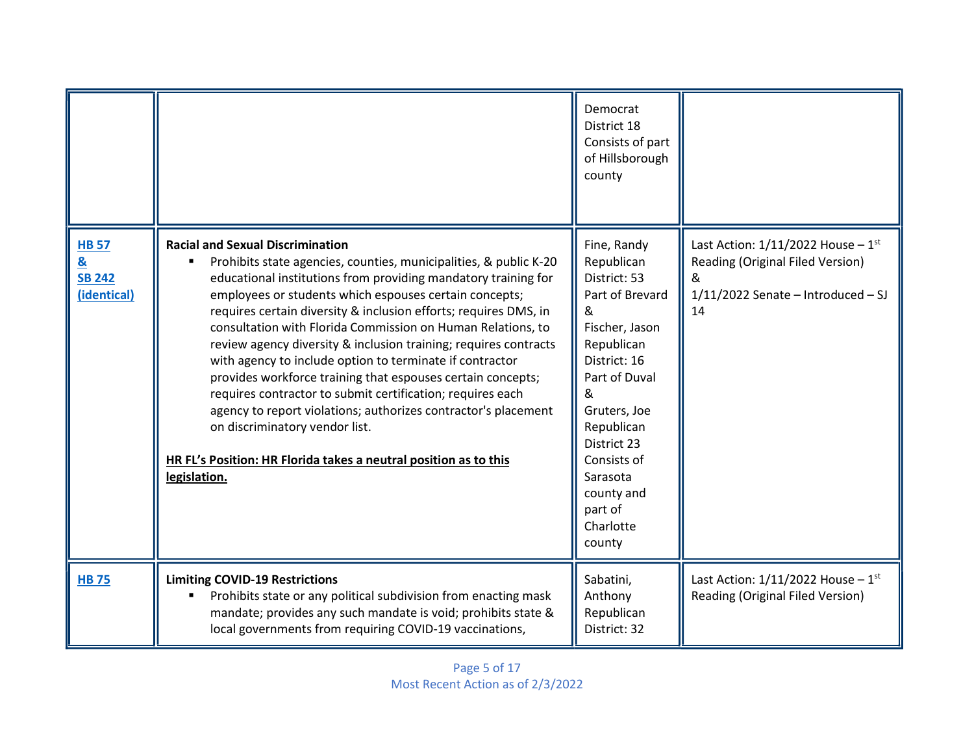|                                                              |                                                                                                                                                                                                                                                                                                                                                                                                                                                                                                                                                                                                                                                                                                                                                                                                                                  | Democrat<br>District 18<br>Consists of part<br>of Hillsborough<br>county                                                                                                                                                                                        |                                                                                                                               |
|--------------------------------------------------------------|----------------------------------------------------------------------------------------------------------------------------------------------------------------------------------------------------------------------------------------------------------------------------------------------------------------------------------------------------------------------------------------------------------------------------------------------------------------------------------------------------------------------------------------------------------------------------------------------------------------------------------------------------------------------------------------------------------------------------------------------------------------------------------------------------------------------------------|-----------------------------------------------------------------------------------------------------------------------------------------------------------------------------------------------------------------------------------------------------------------|-------------------------------------------------------------------------------------------------------------------------------|
| <b>HB 57</b><br><u>&amp;</u><br><b>SB 242</b><br>(identical) | <b>Racial and Sexual Discrimination</b><br>Prohibits state agencies, counties, municipalities, & public K-20<br>educational institutions from providing mandatory training for<br>employees or students which espouses certain concepts;<br>requires certain diversity & inclusion efforts; requires DMS, in<br>consultation with Florida Commission on Human Relations, to<br>review agency diversity & inclusion training; requires contracts<br>with agency to include option to terminate if contractor<br>provides workforce training that espouses certain concepts;<br>requires contractor to submit certification; requires each<br>agency to report violations; authorizes contractor's placement<br>on discriminatory vendor list.<br>HR FL's Position: HR Florida takes a neutral position as to this<br>legislation. | Fine, Randy<br>Republican<br>District: 53<br>Part of Brevard<br>&<br>Fischer, Jason<br>Republican<br>District: 16<br>Part of Duval<br>&<br>Gruters, Joe<br>Republican<br>District 23<br>Consists of<br>Sarasota<br>county and<br>part of<br>Charlotte<br>county | Last Action: $1/11/2022$ House - $1st$<br>Reading (Original Filed Version)<br>&<br>$1/11/2022$ Senate - Introduced - SJ<br>14 |
| <b>HB75</b>                                                  | <b>Limiting COVID-19 Restrictions</b><br>Prohibits state or any political subdivision from enacting mask<br>mandate; provides any such mandate is void; prohibits state &<br>local governments from requiring COVID-19 vaccinations,                                                                                                                                                                                                                                                                                                                                                                                                                                                                                                                                                                                             | Sabatini,<br>Anthony<br>Republican<br>District: 32                                                                                                                                                                                                              | Last Action: $1/11/2022$ House - $1st$<br>Reading (Original Filed Version)                                                    |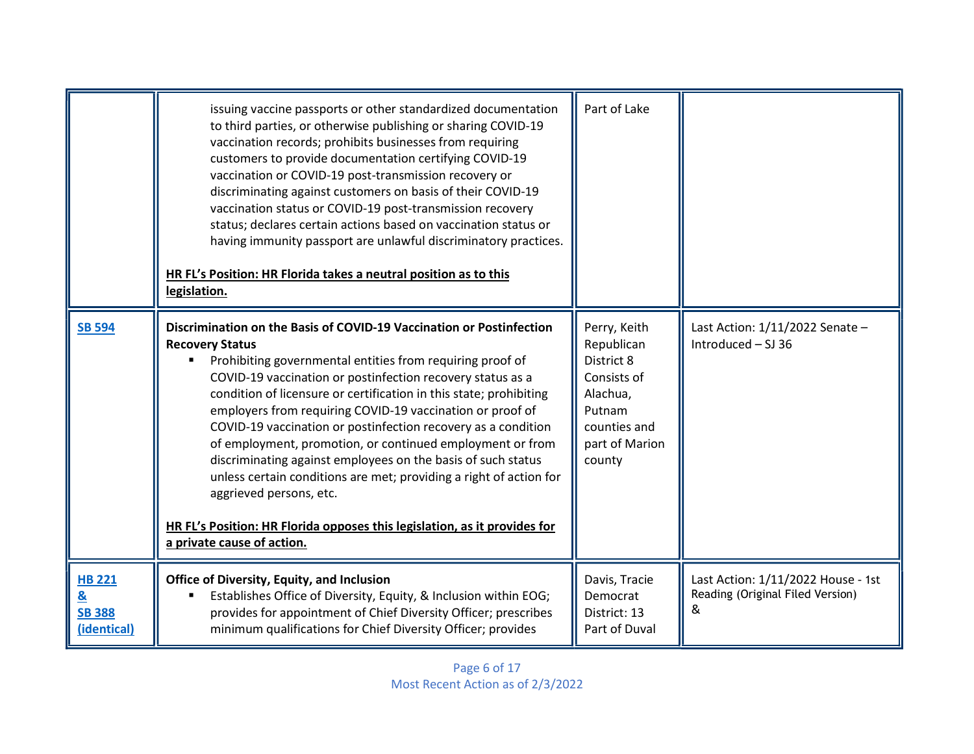|                                                                              | issuing vaccine passports or other standardized documentation<br>to third parties, or otherwise publishing or sharing COVID-19<br>vaccination records; prohibits businesses from requiring<br>customers to provide documentation certifying COVID-19<br>vaccination or COVID-19 post-transmission recovery or<br>discriminating against customers on basis of their COVID-19<br>vaccination status or COVID-19 post-transmission recovery<br>status; declares certain actions based on vaccination status or<br>having immunity passport are unlawful discriminatory practices.<br>HR FL's Position: HR Florida takes a neutral position as to this<br>legislation.                                                                                                    | Part of Lake                                                                                                              |                                                                             |
|------------------------------------------------------------------------------|------------------------------------------------------------------------------------------------------------------------------------------------------------------------------------------------------------------------------------------------------------------------------------------------------------------------------------------------------------------------------------------------------------------------------------------------------------------------------------------------------------------------------------------------------------------------------------------------------------------------------------------------------------------------------------------------------------------------------------------------------------------------|---------------------------------------------------------------------------------------------------------------------------|-----------------------------------------------------------------------------|
| <b>SB 594</b>                                                                | Discrimination on the Basis of COVID-19 Vaccination or Postinfection<br><b>Recovery Status</b><br>Prohibiting governmental entities from requiring proof of<br>COVID-19 vaccination or postinfection recovery status as a<br>condition of licensure or certification in this state; prohibiting<br>employers from requiring COVID-19 vaccination or proof of<br>COVID-19 vaccination or postinfection recovery as a condition<br>of employment, promotion, or continued employment or from<br>discriminating against employees on the basis of such status<br>unless certain conditions are met; providing a right of action for<br>aggrieved persons, etc.<br>HR FL's Position: HR Florida opposes this legislation, as it provides for<br>a private cause of action. | Perry, Keith<br>Republican<br>District 8<br>Consists of<br>Alachua,<br>Putnam<br>counties and<br>part of Marion<br>county | Last Action: 1/11/2022 Senate -<br>Introduced - SJ 36                       |
| <b>HB 221</b><br>$\underline{\underline{8}}$<br><b>SB 388</b><br>(identical) | Office of Diversity, Equity, and Inclusion<br>Establishes Office of Diversity, Equity, & Inclusion within EOG;<br>provides for appointment of Chief Diversity Officer; prescribes<br>minimum qualifications for Chief Diversity Officer; provides                                                                                                                                                                                                                                                                                                                                                                                                                                                                                                                      | Davis, Tracie<br>Democrat<br>District: 13<br>Part of Duval                                                                | Last Action: 1/11/2022 House - 1st<br>Reading (Original Filed Version)<br>& |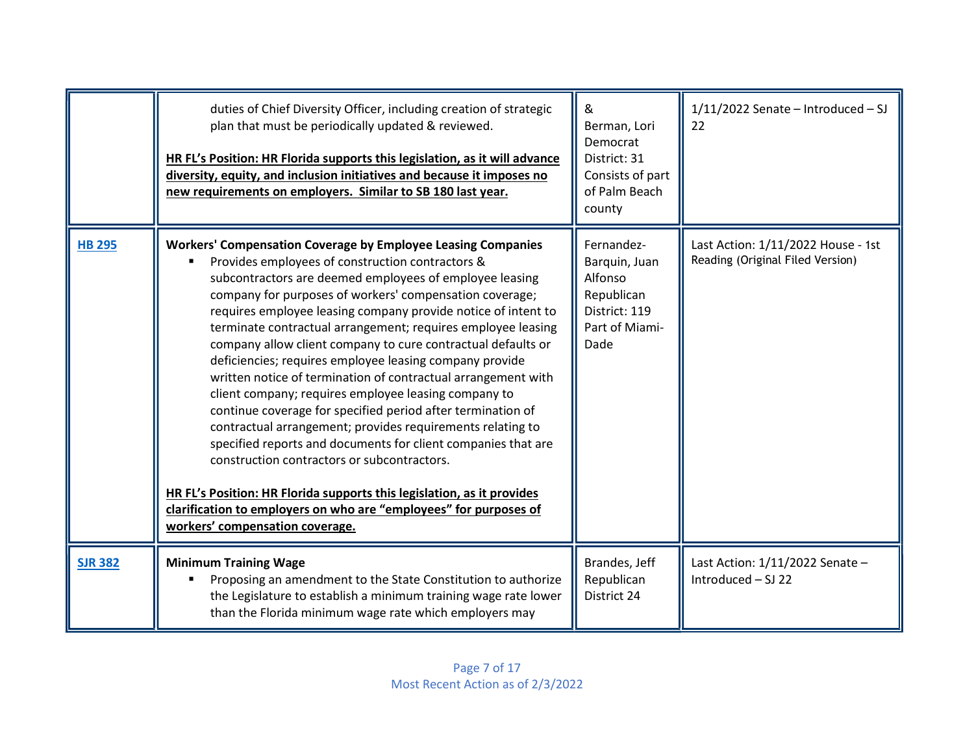|                | duties of Chief Diversity Officer, including creation of strategic<br>plan that must be periodically updated & reviewed.<br>HR FL's Position: HR Florida supports this legislation, as it will advance<br>diversity, equity, and inclusion initiatives and because it imposes no<br>new requirements on employers. Similar to SB 180 last year.                                                                                                                                                                                                                                                                                                                                                                                                                                                                                                                                                                                                                                                                                                                   | &<br>Berman, Lori<br>Democrat<br>District: 31<br>Consists of part<br>of Palm Beach<br>county    | $1/11/2022$ Senate - Introduced - SJ<br>22                             |
|----------------|-------------------------------------------------------------------------------------------------------------------------------------------------------------------------------------------------------------------------------------------------------------------------------------------------------------------------------------------------------------------------------------------------------------------------------------------------------------------------------------------------------------------------------------------------------------------------------------------------------------------------------------------------------------------------------------------------------------------------------------------------------------------------------------------------------------------------------------------------------------------------------------------------------------------------------------------------------------------------------------------------------------------------------------------------------------------|-------------------------------------------------------------------------------------------------|------------------------------------------------------------------------|
| <b>HB 295</b>  | <b>Workers' Compensation Coverage by Employee Leasing Companies</b><br>Provides employees of construction contractors &<br>subcontractors are deemed employees of employee leasing<br>company for purposes of workers' compensation coverage;<br>requires employee leasing company provide notice of intent to<br>terminate contractual arrangement; requires employee leasing<br>company allow client company to cure contractual defaults or<br>deficiencies; requires employee leasing company provide<br>written notice of termination of contractual arrangement with<br>client company; requires employee leasing company to<br>continue coverage for specified period after termination of<br>contractual arrangement; provides requirements relating to<br>specified reports and documents for client companies that are<br>construction contractors or subcontractors.<br>HR FL's Position: HR Florida supports this legislation, as it provides<br>clarification to employers on who are "employees" for purposes of<br>workers' compensation coverage. | Fernandez-<br>Barquin, Juan<br>Alfonso<br>Republican<br>District: 119<br>Part of Miami-<br>Dade | Last Action: 1/11/2022 House - 1st<br>Reading (Original Filed Version) |
| <b>SJR 382</b> | <b>Minimum Training Wage</b><br>Proposing an amendment to the State Constitution to authorize<br>the Legislature to establish a minimum training wage rate lower<br>than the Florida minimum wage rate which employers may                                                                                                                                                                                                                                                                                                                                                                                                                                                                                                                                                                                                                                                                                                                                                                                                                                        | Brandes, Jeff<br>Republican<br>District 24                                                      | Last Action: 1/11/2022 Senate -<br>Introduced - SJ 22                  |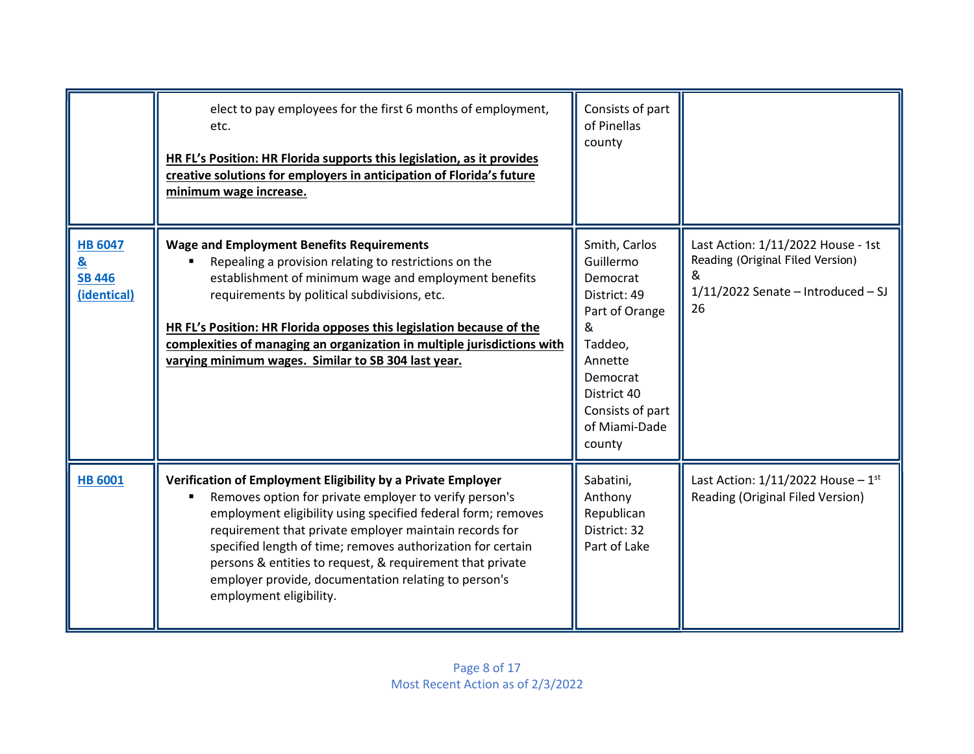|                                                                            | elect to pay employees for the first 6 months of employment,<br>etc.<br>HR FL's Position: HR Florida supports this legislation, as it provides<br>creative solutions for employers in anticipation of Florida's future<br>minimum wage increase.                                                                                                                                                                                                                | Consists of part<br>of Pinellas<br>county                                                                                                                                     |                                                                                                                           |
|----------------------------------------------------------------------------|-----------------------------------------------------------------------------------------------------------------------------------------------------------------------------------------------------------------------------------------------------------------------------------------------------------------------------------------------------------------------------------------------------------------------------------------------------------------|-------------------------------------------------------------------------------------------------------------------------------------------------------------------------------|---------------------------------------------------------------------------------------------------------------------------|
| <b>HB 6047</b><br>$\underline{\mathbf{8}}$<br><b>SB 446</b><br>(identical) | <b>Wage and Employment Benefits Requirements</b><br>Repealing a provision relating to restrictions on the<br>establishment of minimum wage and employment benefits<br>requirements by political subdivisions, etc.<br>HR FL's Position: HR Florida opposes this legislation because of the<br>complexities of managing an organization in multiple jurisdictions with<br>varying minimum wages. Similar to SB 304 last year.                                    | Smith, Carlos<br>Guillermo<br>Democrat<br>District: 49<br>Part of Orange<br>&<br>Taddeo,<br>Annette<br>Democrat<br>District 40<br>Consists of part<br>of Miami-Dade<br>county | Last Action: 1/11/2022 House - 1st<br>Reading (Original Filed Version)<br>&<br>$1/11/2022$ Senate - Introduced - SJ<br>26 |
| <b>HB 6001</b>                                                             | Verification of Employment Eligibility by a Private Employer<br>Removes option for private employer to verify person's<br>employment eligibility using specified federal form; removes<br>requirement that private employer maintain records for<br>specified length of time; removes authorization for certain<br>persons & entities to request, & requirement that private<br>employer provide, documentation relating to person's<br>employment eligibility. | Sabatini,<br>Anthony<br>Republican<br>District: 32<br>Part of Lake                                                                                                            | Last Action: $1/11/2022$ House - $1st$<br>Reading (Original Filed Version)                                                |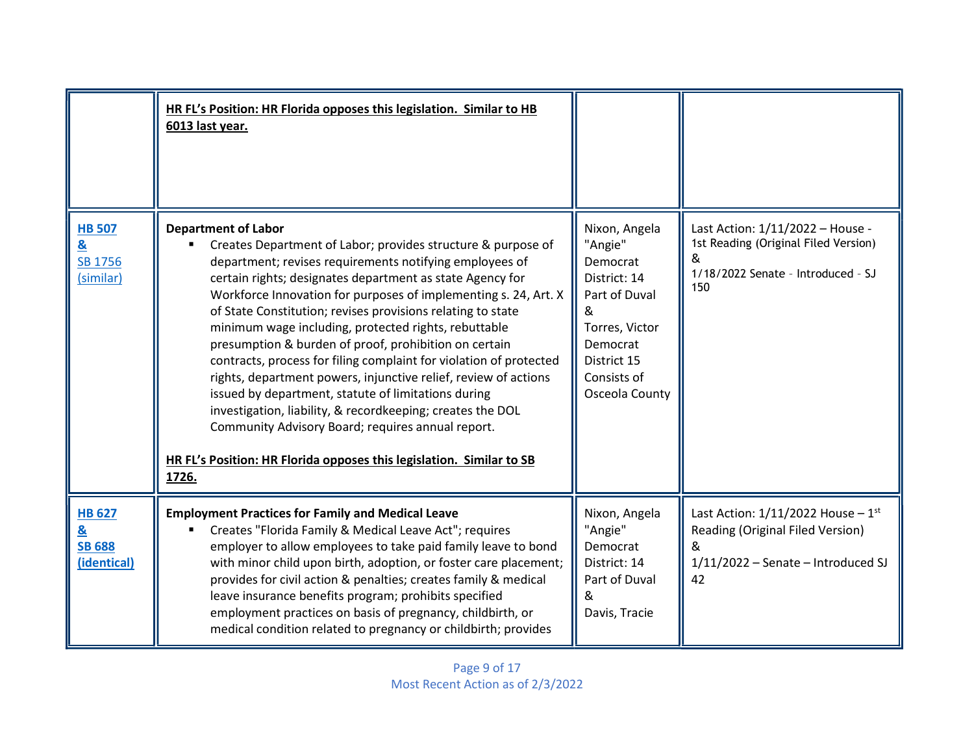|                                                               | HR FL's Position: HR Florida opposes this legislation. Similar to HB<br>6013 last year.                                                                                                                                                                                                                                                                                                                                                                                                                                                                                                                                                                                                                                                                                                                                                                                   |                                                                                                                                                          |                                                                                                                               |
|---------------------------------------------------------------|---------------------------------------------------------------------------------------------------------------------------------------------------------------------------------------------------------------------------------------------------------------------------------------------------------------------------------------------------------------------------------------------------------------------------------------------------------------------------------------------------------------------------------------------------------------------------------------------------------------------------------------------------------------------------------------------------------------------------------------------------------------------------------------------------------------------------------------------------------------------------|----------------------------------------------------------------------------------------------------------------------------------------------------------|-------------------------------------------------------------------------------------------------------------------------------|
| <b>HB 507</b><br><u>&amp;</u><br>SB 1756<br>(similar)         | <b>Department of Labor</b><br>Creates Department of Labor; provides structure & purpose of<br>department; revises requirements notifying employees of<br>certain rights; designates department as state Agency for<br>Workforce Innovation for purposes of implementing s. 24, Art. X<br>of State Constitution; revises provisions relating to state<br>minimum wage including, protected rights, rebuttable<br>presumption & burden of proof, prohibition on certain<br>contracts, process for filing complaint for violation of protected<br>rights, department powers, injunctive relief, review of actions<br>issued by department, statute of limitations during<br>investigation, liability, & recordkeeping; creates the DOL<br>Community Advisory Board; requires annual report.<br>HR FL's Position: HR Florida opposes this legislation. Similar to SB<br>1726. | Nixon, Angela<br>"Angie"<br>Democrat<br>District: 14<br>Part of Duval<br>&<br>Torres, Victor<br>Democrat<br>District 15<br>Consists of<br>Osceola County | Last Action: 1/11/2022 - House -<br>1st Reading (Original Filed Version)<br>&<br>1/18/2022 Senate - Introduced - SJ<br>150    |
| <b>HB 627</b><br><u>&amp;</u><br><b>SB 688</b><br>(identical) | <b>Employment Practices for Family and Medical Leave</b><br>Creates "Florida Family & Medical Leave Act"; requires<br>employer to allow employees to take paid family leave to bond<br>with minor child upon birth, adoption, or foster care placement;<br>provides for civil action & penalties; creates family & medical<br>leave insurance benefits program; prohibits specified<br>employment practices on basis of pregnancy, childbirth, or<br>medical condition related to pregnancy or childbirth; provides                                                                                                                                                                                                                                                                                                                                                       | Nixon, Angela<br>"Angie"<br>Democrat<br>District: 14<br>Part of Duval<br>&<br>Davis, Tracie                                                              | Last Action: $1/11/2022$ House - $1st$<br>Reading (Original Filed Version)<br>&<br>$1/11/2022$ - Senate - Introduced SJ<br>42 |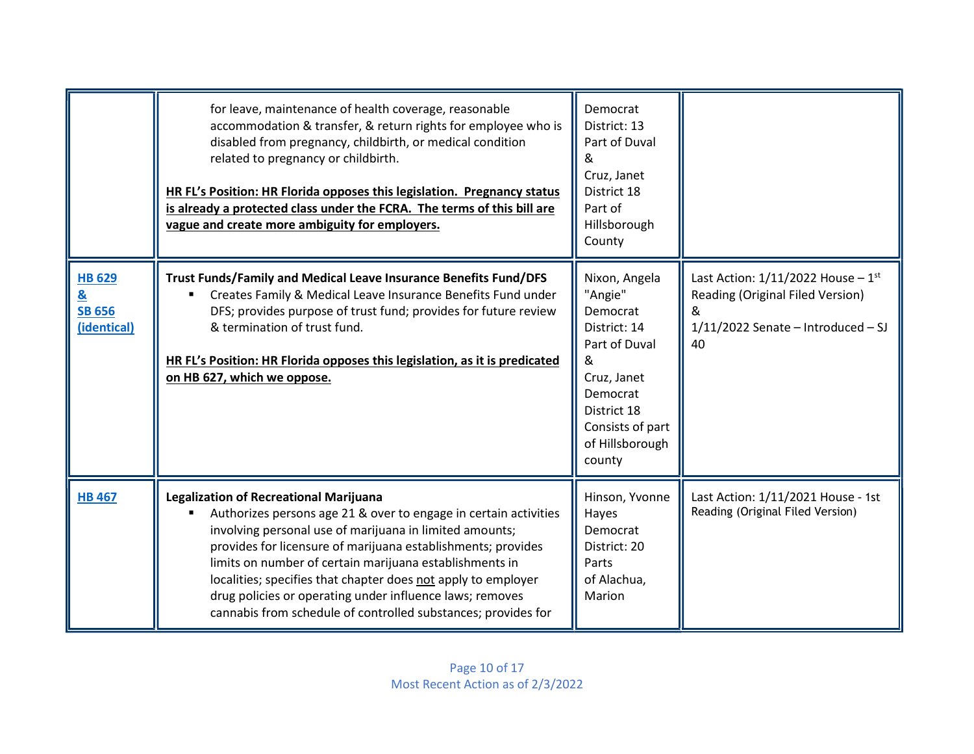|                                                                           | for leave, maintenance of health coverage, reasonable<br>accommodation & transfer, & return rights for employee who is<br>disabled from pregnancy, childbirth, or medical condition<br>related to pregnancy or childbirth.<br>HR FL's Position: HR Florida opposes this legislation. Pregnancy status<br>is already a protected class under the FCRA. The terms of this bill are<br>vague and create more ambiguity for employers.                                                                    | Democrat<br>District: 13<br>Part of Duval<br>&<br>Cruz, Janet<br>District 18<br>Part of<br>Hillsborough<br>County                                                     |                                                                                                                               |
|---------------------------------------------------------------------------|-------------------------------------------------------------------------------------------------------------------------------------------------------------------------------------------------------------------------------------------------------------------------------------------------------------------------------------------------------------------------------------------------------------------------------------------------------------------------------------------------------|-----------------------------------------------------------------------------------------------------------------------------------------------------------------------|-------------------------------------------------------------------------------------------------------------------------------|
| <b>HB 629</b><br>$\underline{\mathbf{g}}$<br><b>SB 656</b><br>(identical) | Trust Funds/Family and Medical Leave Insurance Benefits Fund/DFS<br>Creates Family & Medical Leave Insurance Benefits Fund under<br>DFS; provides purpose of trust fund; provides for future review<br>& termination of trust fund.<br>HR FL's Position: HR Florida opposes this legislation, as it is predicated<br>on HB 627, which we oppose.                                                                                                                                                      | Nixon, Angela<br>"Angie"<br>Democrat<br>District: 14<br>Part of Duval<br>&<br>Cruz, Janet<br>Democrat<br>District 18<br>Consists of part<br>of Hillsborough<br>county | Last Action: $1/11/2022$ House - $1st$<br>Reading (Original Filed Version)<br>&<br>$1/11/2022$ Senate - Introduced - SJ<br>40 |
| <b>HB 467</b>                                                             | <b>Legalization of Recreational Marijuana</b><br>Authorizes persons age 21 & over to engage in certain activities<br>involving personal use of marijuana in limited amounts;<br>provides for licensure of marijuana establishments; provides<br>limits on number of certain marijuana establishments in<br>localities; specifies that chapter does not apply to employer<br>drug policies or operating under influence laws; removes<br>cannabis from schedule of controlled substances; provides for | Hinson, Yvonne<br>Hayes<br>Democrat<br>District: 20<br>Parts<br>of Alachua,<br>Marion                                                                                 | Last Action: 1/11/2021 House - 1st<br>Reading (Original Filed Version)                                                        |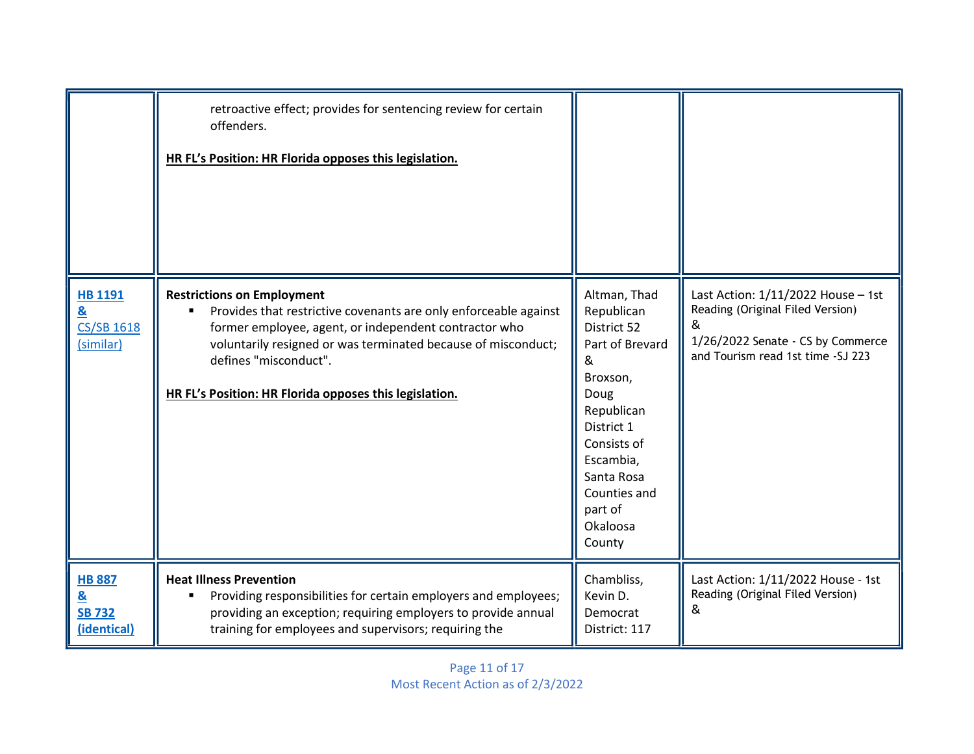|                                                                  | retroactive effect; provides for sentencing review for certain<br>offenders.<br>HR FL's Position: HR Florida opposes this legislation.                                                                                                                                                                             |                                                                                                                                                                                                              |                                                                                                                                                       |
|------------------------------------------------------------------|--------------------------------------------------------------------------------------------------------------------------------------------------------------------------------------------------------------------------------------------------------------------------------------------------------------------|--------------------------------------------------------------------------------------------------------------------------------------------------------------------------------------------------------------|-------------------------------------------------------------------------------------------------------------------------------------------------------|
| <b>HB 1191</b><br><u>&amp;</u><br><b>CS/SB 1618</b><br>(similar) | <b>Restrictions on Employment</b><br>Provides that restrictive covenants are only enforceable against<br>former employee, agent, or independent contractor who<br>voluntarily resigned or was terminated because of misconduct;<br>defines "misconduct".<br>HR FL's Position: HR Florida opposes this legislation. | Altman, Thad<br>Republican<br>District 52<br>Part of Brevard<br>&<br>Broxson,<br>Doug<br>Republican<br>District 1<br>Consists of<br>Escambia,<br>Santa Rosa<br>Counties and<br>part of<br>Okaloosa<br>County | Last Action: 1/11/2022 House - 1st<br>Reading (Original Filed Version)<br>&<br>1/26/2022 Senate - CS by Commerce<br>and Tourism read 1st time -SJ 223 |
| <b>HB 887</b><br><u>&amp;</u><br><b>SB 732</b><br>(identical)    | <b>Heat Illness Prevention</b><br>Providing responsibilities for certain employers and employees;<br>providing an exception; requiring employers to provide annual<br>training for employees and supervisors; requiring the                                                                                        | Chambliss,<br>Kevin D.<br>Democrat<br>District: 117                                                                                                                                                          | Last Action: 1/11/2022 House - 1st<br>Reading (Original Filed Version)<br>&                                                                           |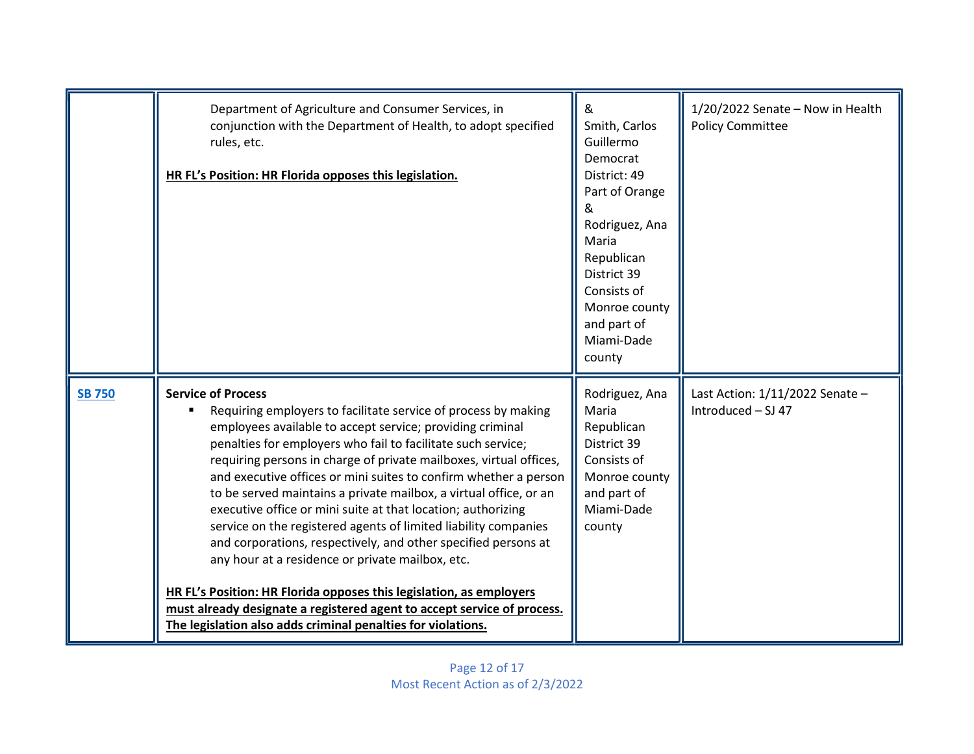|               | Department of Agriculture and Consumer Services, in<br>conjunction with the Department of Health, to adopt specified<br>rules, etc.<br>HR FL's Position: HR Florida opposes this legislation.                                                                                                                                                                                                                                                                                                                                                                                                                                                                                                                                                                                                                                                                                                                      | &<br>Smith, Carlos<br>Guillermo<br>Democrat<br>District: 49<br>Part of Orange<br>&<br>Rodriguez, Ana<br>Maria<br>Republican<br>District 39<br>Consists of<br>Monroe county<br>and part of<br>Miami-Dade<br>county | 1/20/2022 Senate - Now in Health<br><b>Policy Committee</b> |
|---------------|--------------------------------------------------------------------------------------------------------------------------------------------------------------------------------------------------------------------------------------------------------------------------------------------------------------------------------------------------------------------------------------------------------------------------------------------------------------------------------------------------------------------------------------------------------------------------------------------------------------------------------------------------------------------------------------------------------------------------------------------------------------------------------------------------------------------------------------------------------------------------------------------------------------------|-------------------------------------------------------------------------------------------------------------------------------------------------------------------------------------------------------------------|-------------------------------------------------------------|
| <b>SB 750</b> | <b>Service of Process</b><br>Requiring employers to facilitate service of process by making<br>employees available to accept service; providing criminal<br>penalties for employers who fail to facilitate such service;<br>requiring persons in charge of private mailboxes, virtual offices,<br>and executive offices or mini suites to confirm whether a person<br>to be served maintains a private mailbox, a virtual office, or an<br>executive office or mini suite at that location; authorizing<br>service on the registered agents of limited liability companies<br>and corporations, respectively, and other specified persons at<br>any hour at a residence or private mailbox, etc.<br>HR FL's Position: HR Florida opposes this legislation, as employers<br>must already designate a registered agent to accept service of process.<br>The legislation also adds criminal penalties for violations. | Rodriguez, Ana<br>Maria<br>Republican<br>District 39<br>Consists of<br>Monroe county<br>and part of<br>Miami-Dade<br>county                                                                                       | Last Action: 1/11/2022 Senate -<br>Introduced - SJ 47       |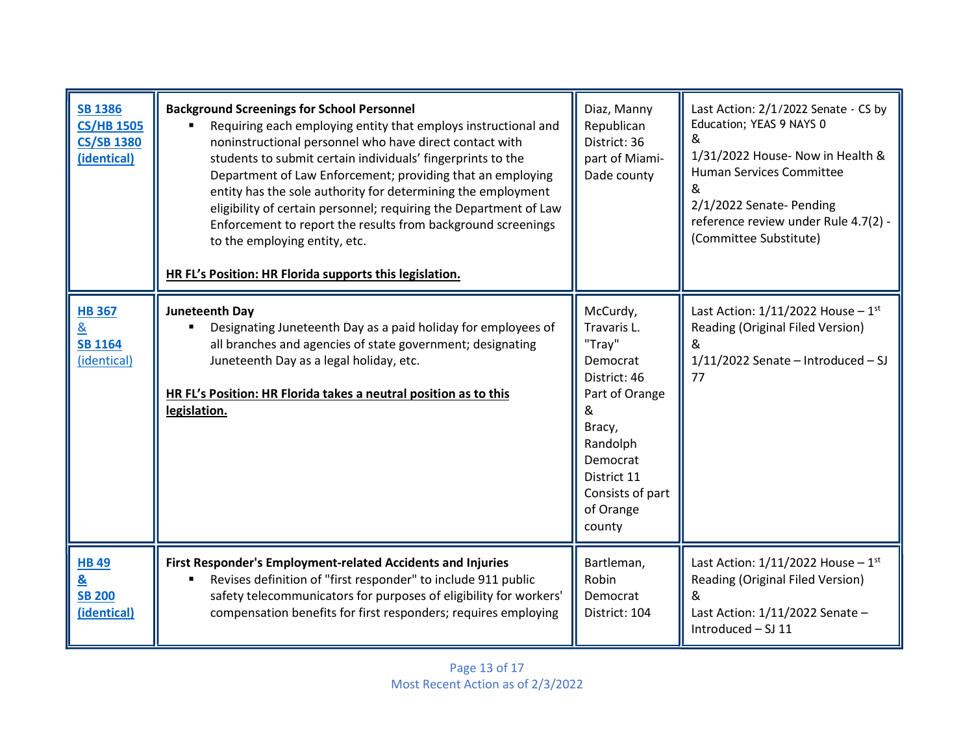| <b>SB 1386</b><br><b>CS/HB 1505</b><br><b>CS/SB 1380</b><br>(identical) | <b>Background Screenings for School Personnel</b><br>Requiring each employing entity that employs instructional and<br>noninstructional personnel who have direct contact with<br>students to submit certain individuals' fingerprints to the<br>Department of Law Enforcement; providing that an employing<br>entity has the sole authority for determining the employment<br>eligibility of certain personnel; requiring the Department of Law<br>Enforcement to report the results from background screenings<br>to the employing entity, etc.<br>HR FL's Position: HR Florida supports this legislation. | Diaz, Manny<br>Republican<br>District: 36<br>part of Miami-<br>Dade county                                                                                                       | Last Action: 2/1/2022 Senate - CS by<br>Education; YEAS 9 NAYS 0<br>&<br>1/31/2022 House- Now in Health &<br>Human Services Committee<br>2/1/2022 Senate- Pending<br>reference review under Rule 4.7(2) -<br>(Committee Substitute) |
|-------------------------------------------------------------------------|--------------------------------------------------------------------------------------------------------------------------------------------------------------------------------------------------------------------------------------------------------------------------------------------------------------------------------------------------------------------------------------------------------------------------------------------------------------------------------------------------------------------------------------------------------------------------------------------------------------|----------------------------------------------------------------------------------------------------------------------------------------------------------------------------------|-------------------------------------------------------------------------------------------------------------------------------------------------------------------------------------------------------------------------------------|
| <b>HB 367</b><br>&<br><b>SB 1164</b><br>(identical)                     | Juneteenth Day<br>Designating Juneteenth Day as a paid holiday for employees of<br>all branches and agencies of state government; designating<br>Juneteenth Day as a legal holiday, etc.<br>HR FL's Position: HR Florida takes a neutral position as to this<br>legislation.                                                                                                                                                                                                                                                                                                                                 | McCurdy,<br>Travaris L.<br>"Tray"<br>Democrat<br>District: 46<br>Part of Orange<br>&<br>Bracy,<br>Randolph<br>Democrat<br>District 11<br>Consists of part<br>of Orange<br>county | Last Action: $1/11/2022$ House - $1st$<br>Reading (Original Filed Version)<br>&<br>$1/11/2022$ Senate - Introduced - SJ<br>77                                                                                                       |
| <b>HB49</b><br>&<br><b>SB 200</b><br>(identical)                        | First Responder's Employment-related Accidents and Injuries<br>Revises definition of "first responder" to include 911 public<br>safety telecommunicators for purposes of eligibility for workers'<br>compensation benefits for first responders; requires employing                                                                                                                                                                                                                                                                                                                                          | Bartleman,<br>Robin<br>Democrat<br>District: 104                                                                                                                                 | Last Action: $1/11/2022$ House - $1st$<br>Reading (Original Filed Version)<br>&<br>Last Action: 1/11/2022 Senate -<br>Introduced - SJ 11                                                                                            |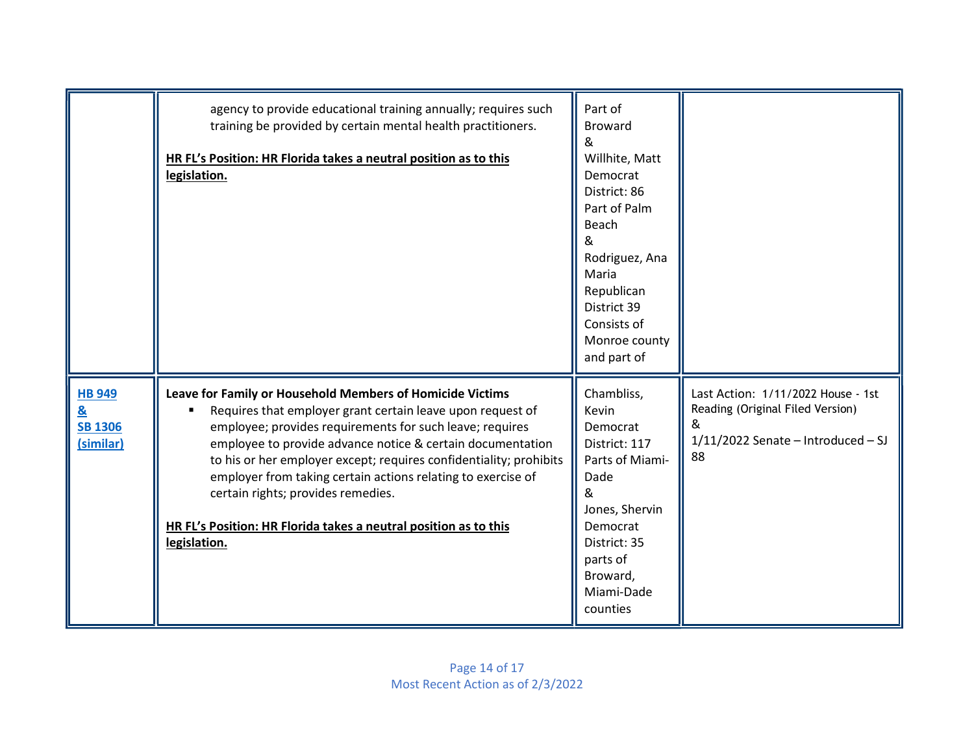|                                                                          | agency to provide educational training annually; requires such<br>training be provided by certain mental health practitioners.<br>HR FL's Position: HR Florida takes a neutral position as to this<br>legislation.                                                                                                                                                                                                                                                                                                | Part of<br><b>Broward</b><br>&<br>Willhite, Matt<br>Democrat<br>District: 86<br>Part of Palm<br>Beach<br>&<br>Rodriguez, Ana<br>Maria<br>Republican<br>District 39<br>Consists of<br>Monroe county<br>and part of |                                                                                                                           |
|--------------------------------------------------------------------------|-------------------------------------------------------------------------------------------------------------------------------------------------------------------------------------------------------------------------------------------------------------------------------------------------------------------------------------------------------------------------------------------------------------------------------------------------------------------------------------------------------------------|-------------------------------------------------------------------------------------------------------------------------------------------------------------------------------------------------------------------|---------------------------------------------------------------------------------------------------------------------------|
| <b>HB 949</b><br>$\underline{\mathbf{g}}$<br><b>SB 1306</b><br>(similar) | Leave for Family or Household Members of Homicide Victims<br>Requires that employer grant certain leave upon request of<br>employee; provides requirements for such leave; requires<br>employee to provide advance notice & certain documentation<br>to his or her employer except; requires confidentiality; prohibits<br>employer from taking certain actions relating to exercise of<br>certain rights; provides remedies.<br>HR FL's Position: HR Florida takes a neutral position as to this<br>legislation. | Chambliss,<br>Kevin<br>Democrat<br>District: 117<br>Parts of Miami-<br>Dade<br>&<br>Jones, Shervin<br>Democrat<br>District: 35<br>parts of<br>Broward,<br>Miami-Dade<br>counties                                  | Last Action: 1/11/2022 House - 1st<br>Reading (Original Filed Version)<br>&<br>$1/11/2022$ Senate - Introduced - SJ<br>88 |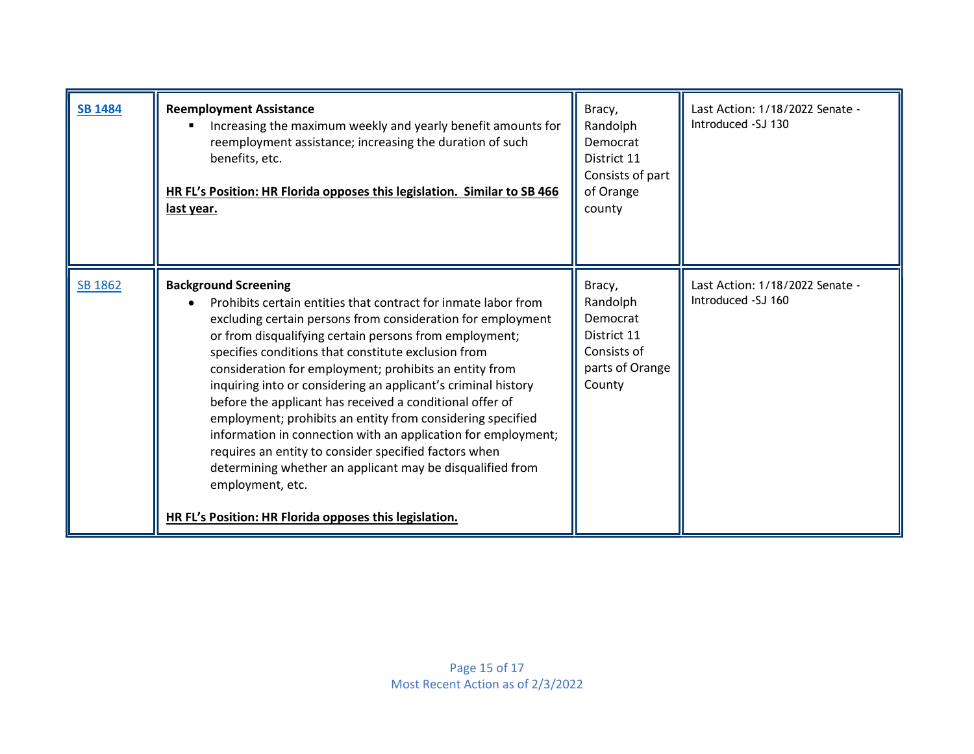| <b>SB 1484</b> | <b>Reemployment Assistance</b><br>Increasing the maximum weekly and yearly benefit amounts for<br>reemployment assistance; increasing the duration of such<br>benefits, etc.<br>HR FL's Position: HR Florida opposes this legislation. Similar to SB 466<br>last year.                                                                                                                                                                                                                                                                                                                                                                                                                                                                                                                                  | Bracy,<br>Randolph<br>Democrat<br>District 11<br>Consists of part<br>of Orange<br>county  | Last Action: 1/18/2022 Senate -<br>Introduced -SJ 130 |
|----------------|---------------------------------------------------------------------------------------------------------------------------------------------------------------------------------------------------------------------------------------------------------------------------------------------------------------------------------------------------------------------------------------------------------------------------------------------------------------------------------------------------------------------------------------------------------------------------------------------------------------------------------------------------------------------------------------------------------------------------------------------------------------------------------------------------------|-------------------------------------------------------------------------------------------|-------------------------------------------------------|
| SB 1862        | <b>Background Screening</b><br>Prohibits certain entities that contract for inmate labor from<br>excluding certain persons from consideration for employment<br>or from disqualifying certain persons from employment;<br>specifies conditions that constitute exclusion from<br>consideration for employment; prohibits an entity from<br>inquiring into or considering an applicant's criminal history<br>before the applicant has received a conditional offer of<br>employment; prohibits an entity from considering specified<br>information in connection with an application for employment;<br>requires an entity to consider specified factors when<br>determining whether an applicant may be disqualified from<br>employment, etc.<br>HR FL's Position: HR Florida opposes this legislation. | Bracy,<br>Randolph<br>Democrat<br>District 11<br>Consists of<br>parts of Orange<br>County | Last Action: 1/18/2022 Senate -<br>Introduced -SJ 160 |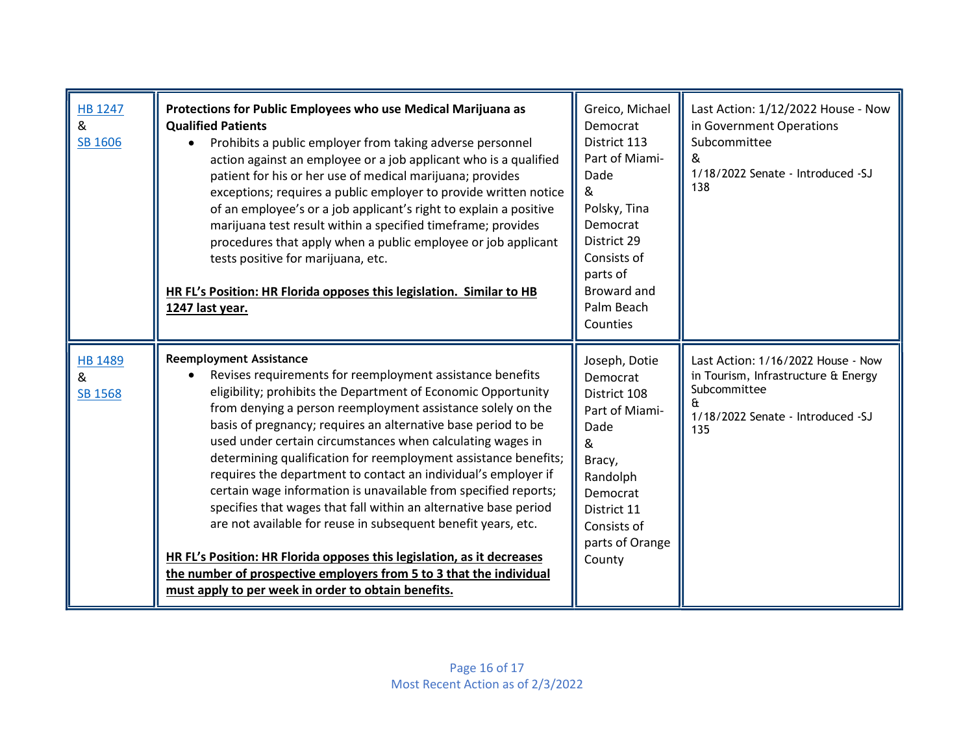| HB 1247<br>&<br>SB 1606               | Protections for Public Employees who use Medical Marijuana as<br><b>Qualified Patients</b><br>Prohibits a public employer from taking adverse personnel<br>$\bullet$<br>action against an employee or a job applicant who is a qualified<br>patient for his or her use of medical marijuana; provides<br>exceptions; requires a public employer to provide written notice<br>of an employee's or a job applicant's right to explain a positive<br>marijuana test result within a specified timeframe; provides<br>procedures that apply when a public employee or job applicant<br>tests positive for marijuana, etc.<br>HR FL's Position: HR Florida opposes this legislation. Similar to HB<br>1247 last year.                                                                                                                                                                                                | Greico, Michael<br>Democrat<br>District 113<br>Part of Miami-<br>Dade<br>&<br>Polsky, Tina<br>Democrat<br>District 29<br>Consists of<br>parts of<br>Broward and<br>Palm Beach<br>Counties | Last Action: 1/12/2022 House - Now<br>in Government Operations<br>Subcommittee<br>&<br>1/18/2022 Senate - Introduced -SJ<br>138             |
|---------------------------------------|-----------------------------------------------------------------------------------------------------------------------------------------------------------------------------------------------------------------------------------------------------------------------------------------------------------------------------------------------------------------------------------------------------------------------------------------------------------------------------------------------------------------------------------------------------------------------------------------------------------------------------------------------------------------------------------------------------------------------------------------------------------------------------------------------------------------------------------------------------------------------------------------------------------------|-------------------------------------------------------------------------------------------------------------------------------------------------------------------------------------------|---------------------------------------------------------------------------------------------------------------------------------------------|
| <b>HB 1489</b><br>&<br><b>SB 1568</b> | <b>Reemployment Assistance</b><br>Revises requirements for reemployment assistance benefits<br>eligibility; prohibits the Department of Economic Opportunity<br>from denying a person reemployment assistance solely on the<br>basis of pregnancy; requires an alternative base period to be<br>used under certain circumstances when calculating wages in<br>determining qualification for reemployment assistance benefits;<br>requires the department to contact an individual's employer if<br>certain wage information is unavailable from specified reports;<br>specifies that wages that fall within an alternative base period<br>are not available for reuse in subsequent benefit years, etc.<br>HR FL's Position: HR Florida opposes this legislation, as it decreases<br>the number of prospective employers from 5 to 3 that the individual<br>must apply to per week in order to obtain benefits. | Joseph, Dotie<br>Democrat<br>District 108<br>Part of Miami-<br>Dade<br>&<br>Bracy,<br>Randolph<br>Democrat<br>District 11<br>Consists of<br>parts of Orange<br>County                     | Last Action: 1/16/2022 House - Now<br>in Tourism, Infrastructure & Energy<br>Subcommittee<br>f۲<br>1/18/2022 Senate - Introduced -SJ<br>135 |